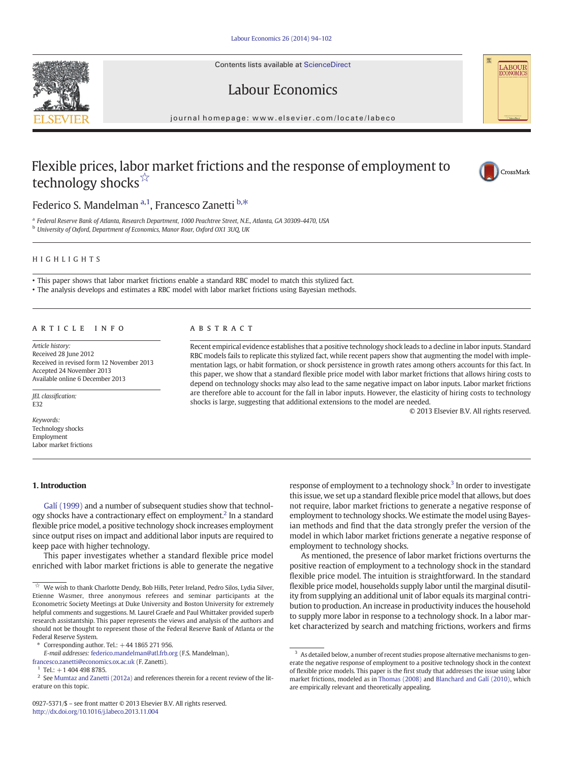Contents lists available at ScienceDirect





journal homepage: www.elsevier.com/locate/labeco

## Flexible prices, labor market frictions and the response of employment to technology shocks<sup>☆</sup>



LABOUR<br>ECONOMICS

## Federico S. Mandelman <sup>a, 1</sup>, Francesco Zanetti <sup>b,\*</sup>

a Federal Reserve Bank of Atlanta, Research Department, 1000 Peachtree Street, N.E., Atlanta, GA 30309-4470, USA b University of Oxford, Department of Economics, Manor Roar, Oxford OX1 3UQ, UK

### HIGHLIGHTS

• This paper shows that labor market frictions enable a standard RBC model to match this stylized fact.

• The analysis develops and estimates a RBC model with labor market frictions using Bayesian methods.

### article info abstract

Article history: Received 28 June 2012 Received in revised form 12 November 2013 Accepted 24 November 2013 Available online 6 December 2013

JEL classification: E32

Keywords: Technology shocks Employment Labor market frictions

Recent empirical evidence establishes that a positive technology shock leads to a decline in labor inputs. Standard RBC models fails to replicate this stylized fact, while recent papers show that augmenting the model with implementation lags, or habit formation, or shock persistence in growth rates among others accounts for this fact. In this paper, we show that a standard flexible price model with labor market frictions that allows hiring costs to depend on technology shocks may also lead to the same negative impact on labor inputs. Labor market frictions are therefore able to account for the fall in labor inputs. However, the elasticity of hiring costs to technology shocks is large, suggesting that additional extensions to the model are needed.

© 2013 Elsevier B.V. All rights reserved.

### 1. Introduction

[Galí \(1999\)](#page--1-0) and a number of subsequent studies show that technology shocks have a contractionary effect on employment.<sup>2</sup> In a standard flexible price model, a positive technology shock increases employment since output rises on impact and additional labor inputs are required to keep pace with higher technology.

This paper investigates whether a standard flexible price model enriched with labor market frictions is able to generate the negative

0927-5371/\$ – see front matter © 2013 Elsevier B.V. All rights reserved. <http://dx.doi.org/10.1016/j.labeco.2013.11.004>

response of employment to a technology shock.<sup>3</sup> In order to investigate this issue, we set up a standard flexible price model that allows, but does not require, labor market frictions to generate a negative response of employment to technology shocks. We estimate the model using Bayesian methods and find that the data strongly prefer the version of the model in which labor market frictions generate a negative response of employment to technology shocks.

As mentioned, the presence of labor market frictions overturns the positive reaction of employment to a technology shock in the standard flexible price model. The intuition is straightforward. In the standard flexible price model, households supply labor until the marginal disutility from supplying an additional unit of labor equals its marginal contribution to production. An increase in productivity induces the household to supply more labor in response to a technology shock. In a labor market characterized by search and matching frictions, workers and firms

 $\overrightarrow{A}$  We wish to thank Charlotte Dendy, Bob Hills, Peter Ireland, Pedro Silos, Lydia Silver, Etienne Wasmer, three anonymous referees and seminar participants at the Econometric Society Meetings at Duke University and Boston University for extremely helpful comments and suggestions. M. Laurel Graefe and Paul Whittaker provided superb research assistantship. This paper represents the views and analysis of the authors and should not be thought to represent those of the Federal Reserve Bank of Atlanta or the Federal Reserve System.

Corresponding author. Tel.:  $+44$  1865 271 956.

E-mail addresses: [federico.mandelman@atl.frb.org](mailto:federico.mandelman@atl.frb.org) (F.S. Mandelman),

[francesco.zanetti@economics.ox.ac.uk](mailto:francesco.zanetti@economics.ox.ac.uk) (F. Zanetti).  $1$  Tel.:  $+1$  404 498 8785.

<sup>&</sup>lt;sup>2</sup> See [Mumtaz and Zanetti \(2012a\)](#page--1-0) and references therein for a recent review of the literature on this topic.

 $3$  As detailed below, a number of recent studies propose alternative mechanisms to generate the negative response of employment to a positive technology shock in the context of flexible price models. This paper is the first study that addresses the issue using labor market frictions, modeled as in [Thomas \(2008\)](#page--1-0) and [Blanchard and Galí \(2010\)](#page--1-0), which are empirically relevant and theoretically appealing.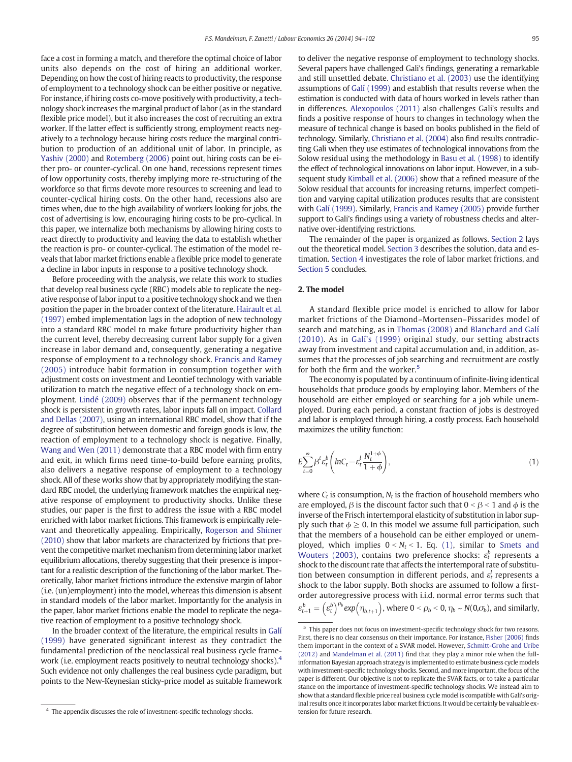face a cost in forming a match, and therefore the optimal choice of labor units also depends on the cost of hiring an additional worker. Depending on how the cost of hiring reacts to productivity, the response of employment to a technology shock can be either positive or negative. For instance, if hiring costs co-move positively with productivity, a technology shock increases the marginal product of labor (as in the standard flexible price model), but it also increases the cost of recruiting an extra worker. If the latter effect is sufficiently strong, employment reacts negatively to a technology because hiring costs reduce the marginal contribution to production of an additional unit of labor. In principle, as [Yashiv \(2000\)](#page--1-0) and [Rotemberg \(2006\)](#page--1-0) point out, hiring costs can be either pro- or counter-cyclical. On one hand, recessions represent times of low opportunity costs, thereby implying more re-structuring of the workforce so that firms devote more resources to screening and lead to counter-cyclical hiring costs. On the other hand, recessions also are times when, due to the high availability of workers looking for jobs, the cost of advertising is low, encouraging hiring costs to be pro-cyclical. In this paper, we internalize both mechanisms by allowing hiring costs to react directly to productivity and leaving the data to establish whether the reaction is pro- or counter-cyclical. The estimation of the model reveals that labor market frictions enable a flexible price model to generate a decline in labor inputs in response to a positive technology shock.

Before proceeding with the analysis, we relate this work to studies that develop real business cycle (RBC) models able to replicate the negative response of labor input to a positive technology shock and we then position the paper in the broader context of the literature. [Hairault et al.](#page--1-0) [\(1997\)](#page--1-0) embed implementation lags in the adoption of new technology into a standard RBC model to make future productivity higher than the current level, thereby decreasing current labor supply for a given increase in labor demand and, consequently, generating a negative response of employment to a technology shock. [Francis and Ramey](#page--1-0) [\(2005\)](#page--1-0) introduce habit formation in consumption together with adjustment costs on investment and Leontief technology with variable utilization to match the negative effect of a technology shock on employment. [Lindé \(2009\)](#page--1-0) observes that if the permanent technology shock is persistent in growth rates, labor inputs fall on impact. [Collard](#page--1-0) [and Dellas \(2007\)](#page--1-0), using an international RBC model, show that if the degree of substitution between domestic and foreign goods is low, the reaction of employment to a technology shock is negative. Finally, [Wang and Wen \(2011\)](#page--1-0) demonstrate that a RBC model with firm entry and exit, in which firms need time-to-build before earning profits, also delivers a negative response of employment to a technology shock. All of these works show that by appropriately modifying the standard RBC model, the underlying framework matches the empirical negative response of employment to productivity shocks. Unlike these studies, our paper is the first to address the issue with a RBC model enriched with labor market frictions. This framework is empirically relevant and theoretically appealing. Empirically, [Rogerson and Shimer](#page--1-0) [\(2010\)](#page--1-0) show that labor markets are characterized by frictions that prevent the competitive market mechanism from determining labor market equilibrium allocations, thereby suggesting that their presence is important for a realistic description of the functioning of the labor market. Theoretically, labor market frictions introduce the extensive margin of labor (i.e. (un)employment) into the model, whereas this dimension is absent in standard models of the labor market. Importantly for the analysis in the paper, labor market frictions enable the model to replicate the negative reaction of employment to a positive technology shock.

In the broader context of the literature, the empirical results in [Galí](#page--1-0) [\(1999\)](#page--1-0) have generated significant interest as they contradict the fundamental prediction of the neoclassical real business cycle framework (i.e. employment reacts positively to neutral technology shocks).<sup>4</sup> Such evidence not only challenges the real business cycle paradigm, but points to the New-Keynesian sticky-price model as suitable framework to deliver the negative response of employment to technology shocks. Several papers have challenged Gali's findings, generating a remarkable and still unsettled debate. [Christiano et al. \(2003\)](#page--1-0) use the identifying assumptions of [Galí \(1999\)](#page--1-0) and establish that results reverse when the estimation is conducted with data of hours worked in levels rather than in differences. [Alexopoulos \(2011\)](#page--1-0) also challenges Gali's results and finds a positive response of hours to changes in technology when the measure of technical change is based on books published in the field of technology. Similarly, [Christiano et al. \(2004\)](#page--1-0) also find results contradicting Gali when they use estimates of technological innovations from the Solow residual using the methodology in [Basu et al. \(1998\)](#page--1-0) to identify the effect of technological innovations on labor input. However, in a subsequent study [Kimball et al. \(2006\)](#page--1-0) show that a refined measure of the Solow residual that accounts for increasing returns, imperfect competition and varying capital utilization produces results that are consistent with [Galí \(1999\)](#page--1-0). Similarly, [Francis and Ramey \(2005\)](#page--1-0) provide further support to Gali's findings using a variety of robustness checks and alternative over-identifying restrictions.

The remainder of the paper is organized as follows. Section 2 lays out the theoretical model. [Section 3](#page--1-0) describes the solution, data and estimation. [Section 4](#page--1-0) investigates the role of labor market frictions, and [Section 5](#page--1-0) concludes.

### 2. The model

A standard flexible price model is enriched to allow for labor market frictions of the Diamond–Mortensen–Pissarides model of search and matching, as in [Thomas \(2008\)](#page--1-0) and [Blanchard and Galí](#page--1-0) [\(2010\)](#page--1-0). As in [Galí's \(1999\)](#page--1-0) original study, our setting abstracts away from investment and capital accumulation and, in addition, assumes that the processes of job searching and recruitment are costly for both the firm and the worker.<sup>5</sup>

The economy is populated by a continuum of infinite-living identical households that produce goods by employing labor. Members of the household are either employed or searching for a job while unemployed. During each period, a constant fraction of jobs is destroyed and labor is employed through hiring, a costly process. Each household maximizes the utility function:

$$
E\sum_{t=0}^{\infty} \beta^t \varepsilon_t^b \left( lnC_t - \varepsilon_t^l \frac{N_t^{1+\phi}}{1+\phi} \right),\tag{1}
$$

where  $C_t$  is consumption,  $N_t$  is the fraction of household members who are employed,  $\beta$  is the discount factor such that  $0 < \beta < 1$  and  $\phi$  is the inverse of the Frisch intertemporal elasticity of substitution in labor supply such that  $\phi \geq 0$ . In this model we assume full participation, such that the members of a household can be either employed or unemployed, which implies  $0 < N_t < 1$ . Eq. (1), similar to [Smets and](#page--1-0) [Wouters \(2003\)](#page--1-0), contains two preference shocks:  $\varepsilon_t^b$  represents a shock to the discount rate that affects the intertemporal rate of substitution between consumption in different periods, and  $\varepsilon_t^l$  represents a shock to the labor supply. Both shocks are assumed to follow a firstorder autoregressive process with i.i.d. normal error terms such that  $\varepsilon_{t+1}^b = \left(\varepsilon_t^b\right)^{\rho_b}$ exp $\left(\eta_{b,t+1}\right)$ , where  $0<\rho_b< 0$ ,  $\eta_b\thicksim N(0,\!\sigma_b)$ , and similarly,

<sup>&</sup>lt;sup>4</sup> The appendix discusses the role of investment-specific technology shocks.

<sup>&</sup>lt;sup>5</sup> This paper does not focus on investment-specific technology shock for two reasons. First, there is no clear consensus on their importance. For instance, [Fisher \(2006\)](#page--1-0) finds them important in the context of a SVAR model. However, [Schmitt-Grohe and Uribe](#page--1-0) [\(2012\)](#page--1-0) and [Mandelman et al. \(2011\)](#page--1-0) find that they play a minor role when the fullinformation Bayesian approach strategy is implemented to estimate business cycle models with investment-specific technology shocks. Second, and more important, the focus of the paper is different. Our objective is not to replicate the SVAR facts, or to take a particular stance on the importance of investment-specific technology shocks. We instead aim to show that a standard flexible price real business cycle model is compatible with Gali's original results once it incorporates labor market frictions. It would be certainly be valuable extension for future research.